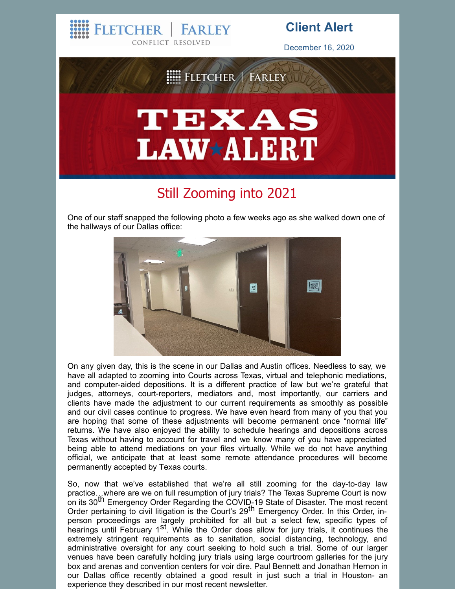CONFLICT RESOLVED December 16, 2020 FLETCHER | FARLEY TEXAS **LAW\*ALERT** 

**FARLEY** 

**FLETCHER** 

**Client Alert**

## Still Zooming into 2021

One of our staff snapped the following photo a few weeks ago as she walked down one of the hallways of our Dallas office:



On any given day, this is the scene in our Dallas and Austin offices. Needless to say, we have all adapted to zooming into Courts across Texas, virtual and telephonic mediations, and computer-aided depositions. It is a different practice of law but we're grateful that judges, attorneys, court-reporters, mediators and, most importantly, our carriers and clients have made the adjustment to our current requirements as smoothly as possible and our civil cases continue to progress. We have even heard from many of you that you are hoping that some of these adjustments will become permanent once "normal life" returns. We have also enjoyed the ability to schedule hearings and depositions across Texas without having to account for travel and we know many of you have appreciated being able to attend mediations on your files virtually. While we do not have anything official, we anticipate that at least some remote attendance procedures will become permanently accepted by Texas courts.

So, now that we've established that we're all still zooming for the day-to-day law practice…where are we on full resumption of jury trials? The Texas Supreme Court is now on its 30<sup>th</sup> Emergency Order Regarding the COVID-19 State of Disaster. The most recent Order pertaining to civil litigation is the Court's 29<sup>th</sup> Emergency Order. In this Order, inperson proceedings are largely prohibited for all but a select few, specific types of hearings until February 1<sup>st</sup>. While the Order does allow for jury trials, it continues the extremely stringent requirements as to sanitation, social distancing, technology, and administrative oversight for any court seeking to hold such a trial. Some of our larger venues have been carefully holding jury trials using large courtroom galleries for the jury box and arenas and convention centers for voir dire. Paul Bennett and Jonathan Hernon in our Dallas office recently obtained a good result in just such a trial in Houston- an experience they described in our most recent newsletter.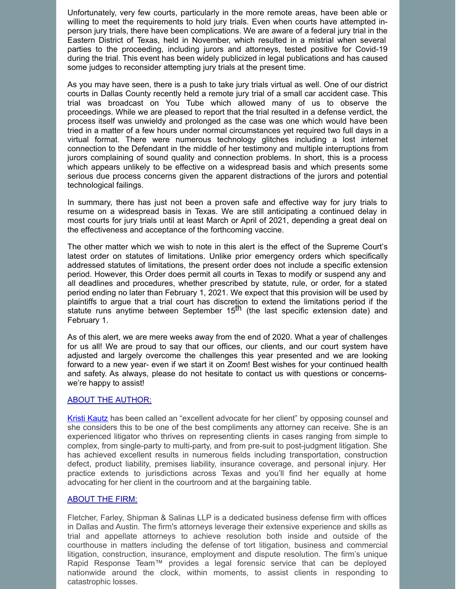Unfortunately, very few courts, particularly in the more remote areas, have been able or willing to meet the requirements to hold jury trials. Even when courts have attempted inperson jury trials, there have been complications. We are aware of a federal jury trial in the Eastern District of Texas, held in November, which resulted in a mistrial when several parties to the proceeding, including jurors and attorneys, tested positive for Covid-19 during the trial. This event has been widely publicized in legal publications and has caused some judges to reconsider attempting jury trials at the present time.

As you may have seen, there is a push to take jury trials virtual as well. One of our district courts in Dallas County recently held a remote jury trial of a small car accident case. This trial was broadcast on You Tube which allowed many of us to observe the proceedings. While we are pleased to report that the trial resulted in a defense verdict, the process itself was unwieldy and prolonged as the case was one which would have been tried in a matter of a few hours under normal circumstances yet required two full days in a virtual format. There were numerous technology glitches including a lost internet connection to the Defendant in the middle of her testimony and multiple interruptions from jurors complaining of sound quality and connection problems. In short, this is a process which appears unlikely to be effective on a widespread basis and which presents some serious due process concerns given the apparent distractions of the jurors and potential technological failings.

In summary, there has just not been a proven safe and effective way for jury trials to resume on a widespread basis in Texas. We are still anticipating a continued delay in most courts for jury trials until at least March or April of 2021, depending a great deal on the effectiveness and acceptance of the forthcoming vaccine.

The other matter which we wish to note in this alert is the effect of the Supreme Court's latest order on statutes of limitations. Unlike prior emergency orders which specifically addressed statutes of limitations, the present order does not include a specific extension period. However, this Order does permit all courts in Texas to modify or suspend any and all deadlines and procedures, whether prescribed by statute, rule, or order, for a stated period ending no later than February 1, 2021. We expect that this provision will be used by plaintiffs to argue that a trial court has discretion to extend the limitations period if the statute runs anytime between September 15 th (the last specific extension date) and February 1.

As of this alert, we are mere weeks away from the end of 2020. What a year of challenges for us all! We are proud to say that our offices, our clients, and our court system have adjusted and largely overcome the challenges this year presented and we are looking forward to a new year- even if we start it on Zoom! Best wishes for your continued health and safety. As always, please do not hesitate to contact us with questions or concernswe're happy to assist!

## ABOUT THE AUTHOR:

Kristi [Kautz](http://www.fletcherfarley.com/attorneys-kristi-kautz) has been called an "excellent advocate for her client" by opposing counsel and she considers this to be one of the best compliments any attorney can receive. She is an experienced litigator who thrives on representing clients in cases ranging from simple to complex, from single-party to multi-party, and from pre-suit to post-judgment litigation. She has achieved excellent results in numerous fields including transportation, construction defect, product liability, premises liability, insurance coverage, and personal injury. Her practice extends to jurisdictions across Texas and you'll find her equally at home advocating for her client in the courtroom and at the bargaining table.

## ABOUT THE FIRM:

Fletcher, Farley, Shipman & Salinas LLP is a dedicated business defense firm with offices in Dallas and Austin. The firm's attorneys leverage their extensive experience and skills as trial and appellate attorneys to achieve resolution both inside and outside of the courthouse in matters including the defense of tort litigation, business and commercial litigation, construction, insurance, employment and dispute resolution. The firm's unique Rapid Response Team™ provides a legal forensic service that can be deployed nationwide around the clock, within moments, to assist clients in responding to catastrophic losses.